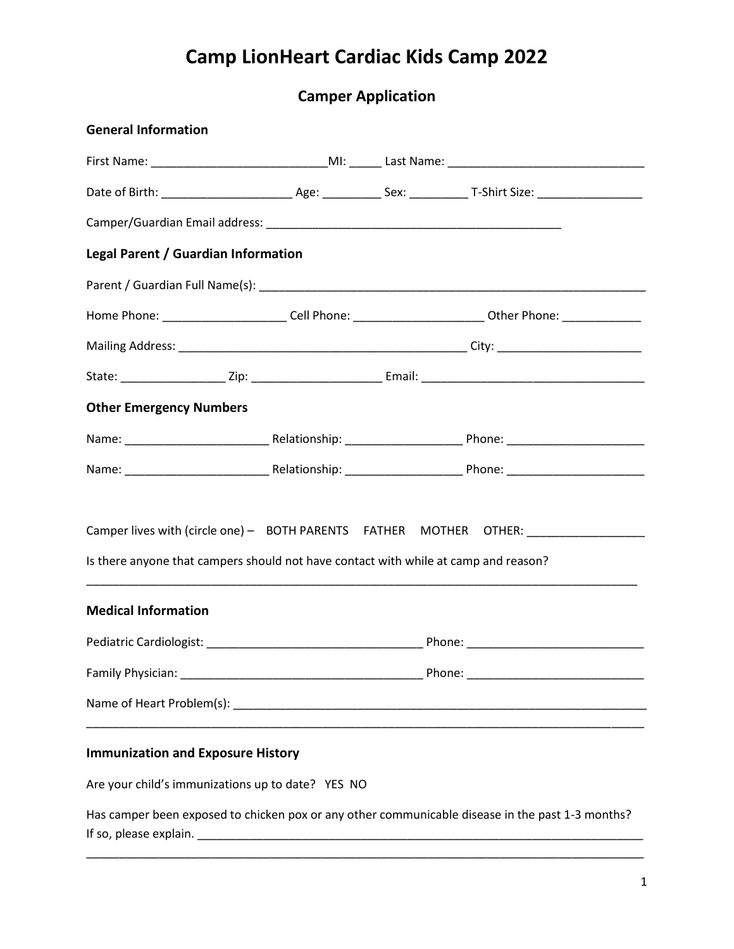### **Camper Application**

| <b>General Information</b>                                                          |  |                                                                                                      |
|-------------------------------------------------------------------------------------|--|------------------------------------------------------------------------------------------------------|
|                                                                                     |  |                                                                                                      |
|                                                                                     |  |                                                                                                      |
|                                                                                     |  |                                                                                                      |
| Legal Parent / Guardian Information                                                 |  |                                                                                                      |
|                                                                                     |  |                                                                                                      |
|                                                                                     |  | Home Phone: _________________________Cell Phone: _________________________Other Phone: _____________ |
|                                                                                     |  |                                                                                                      |
|                                                                                     |  |                                                                                                      |
| <b>Other Emergency Numbers</b>                                                      |  |                                                                                                      |
|                                                                                     |  |                                                                                                      |
|                                                                                     |  |                                                                                                      |
| Is there anyone that campers should not have contact with while at camp and reason? |  | Camper lives with (circle one) - BOTH PARENTS FATHER MOTHER OTHER: _____________                     |
| <b>Medical Information</b>                                                          |  |                                                                                                      |
|                                                                                     |  |                                                                                                      |
|                                                                                     |  |                                                                                                      |
|                                                                                     |  |                                                                                                      |
| <b>Immunization and Exposure History</b>                                            |  |                                                                                                      |
| Are your child's immunizations up to date? YES NO                                   |  |                                                                                                      |
|                                                                                     |  | Has camper been exposed to chicken pox or any other communicable disease in the past 1-3 months?     |

\_\_\_\_\_\_\_\_\_\_\_\_\_\_\_\_\_\_\_\_\_\_\_\_\_\_\_\_\_\_\_\_\_\_\_\_\_\_\_\_\_\_\_\_\_\_\_\_\_\_\_\_\_\_\_\_\_\_\_\_\_\_\_\_\_\_\_\_\_\_\_\_\_\_\_\_\_\_\_\_\_\_\_\_\_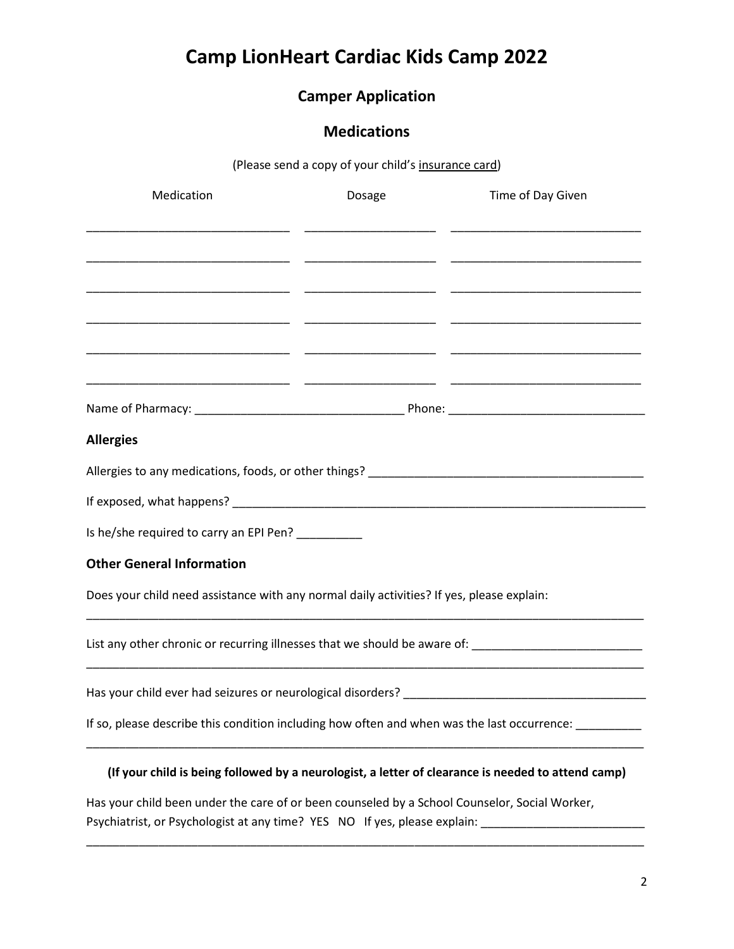### **Camper Application**

#### **Medications**

(Please send a copy of your child's insurance card)

| Medication                                                                                           | Dosage                                                                                                          | Time of Day Given |
|------------------------------------------------------------------------------------------------------|-----------------------------------------------------------------------------------------------------------------|-------------------|
|                                                                                                      |                                                                                                                 |                   |
|                                                                                                      |                                                                                                                 |                   |
|                                                                                                      |                                                                                                                 |                   |
|                                                                                                      |                                                                                                                 |                   |
|                                                                                                      |                                                                                                                 |                   |
|                                                                                                      |                                                                                                                 |                   |
|                                                                                                      |                                                                                                                 |                   |
| <b>Allergies</b>                                                                                     |                                                                                                                 |                   |
| Allergies to any medications, foods, or other things? ___________________________                    |                                                                                                                 |                   |
|                                                                                                      |                                                                                                                 |                   |
| Is he/she required to carry an EPI Pen? __________                                                   |                                                                                                                 |                   |
| <b>Other General Information</b>                                                                     |                                                                                                                 |                   |
| Does your child need assistance with any normal daily activities? If yes, please explain:            |                                                                                                                 |                   |
| List any other chronic or recurring illnesses that we should be aware of: _________________________  |                                                                                                                 |                   |
|                                                                                                      |                                                                                                                 |                   |
| If so, please describe this condition including how often and when was the last occurrence: ________ |                                                                                                                 |                   |
| (If your child is being followed by a neurologist, a letter of clearance is needed to attend camp)   |                                                                                                                 |                   |
|                                                                                                      | the contract of the contract of the contract of the contract of the contract of the contract of the contract of |                   |

Has your child been under the care of or been counseled by a School Counselor, Social Worker, Psychiatrist, or Psychologist at any time? YES NO If yes, please explain: \_\_\_\_\_\_\_\_\_\_\_\_\_\_\_\_\_\_\_\_\_\_\_\_\_\_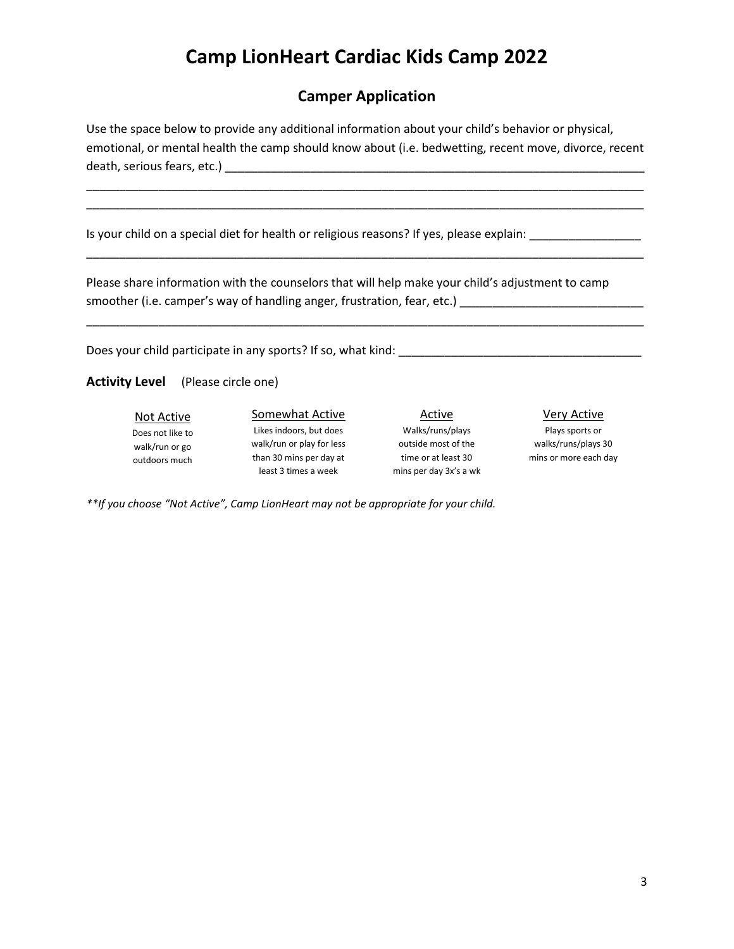#### **Camper Application**

Use the space below to provide any additional information about your child's behavior or physical, emotional, or mental health the camp should know about (i.e. bedwetting, recent move, divorce, recent death, serious fears, etc.) \_\_\_\_\_\_\_\_\_\_\_\_\_\_\_\_\_\_\_\_\_\_\_\_\_\_\_\_\_\_\_\_\_\_\_\_\_\_\_\_\_\_\_\_\_\_\_\_\_\_\_\_\_\_\_\_\_\_\_\_\_\_\_\_

\_\_\_\_\_\_\_\_\_\_\_\_\_\_\_\_\_\_\_\_\_\_\_\_\_\_\_\_\_\_\_\_\_\_\_\_\_\_\_\_\_\_\_\_\_\_\_\_\_\_\_\_\_\_\_\_\_\_\_\_\_\_\_\_\_\_\_\_\_\_\_\_\_\_\_\_\_\_\_\_\_\_\_\_\_ \_\_\_\_\_\_\_\_\_\_\_\_\_\_\_\_\_\_\_\_\_\_\_\_\_\_\_\_\_\_\_\_\_\_\_\_\_\_\_\_\_\_\_\_\_\_\_\_\_\_\_\_\_\_\_\_\_\_\_\_\_\_\_\_\_\_\_\_\_\_\_\_\_\_\_\_\_\_\_\_\_\_\_\_\_

\_\_\_\_\_\_\_\_\_\_\_\_\_\_\_\_\_\_\_\_\_\_\_\_\_\_\_\_\_\_\_\_\_\_\_\_\_\_\_\_\_\_\_\_\_\_\_\_\_\_\_\_\_\_\_\_\_\_\_\_\_\_\_\_\_\_\_\_\_\_\_\_\_\_\_\_\_\_\_\_\_\_\_\_\_

Is your child on a special diet for health or religious reasons? If yes, please explain:

Please share information with the counselors that will help make your child's adjustment to camp smoother (i.e. camper's way of handling anger, frustration, fear, etc.) \_\_\_\_\_\_\_\_\_\_\_\_\_\_\_\_\_\_\_\_\_\_\_\_\_\_\_\_

Does your child participate in any sports? If so, what kind:

**Activity Level** (Please circle one)

Not Active Does not like to walk/run or go outdoors much

Somewhat Active Likes indoors, but does walk/run or play for less than 30 mins per day at least 3 times a week

Active Walks/runs/plays outside most of the time or at least 30 mins per day 3x's a wk Very Active

\_\_\_\_\_\_\_\_\_\_\_\_\_\_\_\_\_\_\_\_\_\_\_\_\_\_\_\_\_\_\_\_\_\_\_\_\_\_\_\_\_\_\_\_\_\_\_\_\_\_\_\_\_\_\_\_\_\_\_\_\_\_\_\_\_\_\_\_\_\_\_\_\_\_\_\_\_\_\_\_\_\_\_\_\_

Plays sports or walks/runs/plays 30 mins or more each day

*\*\*If you choose "Not Active", Camp LionHeart may not be appropriate for your child.*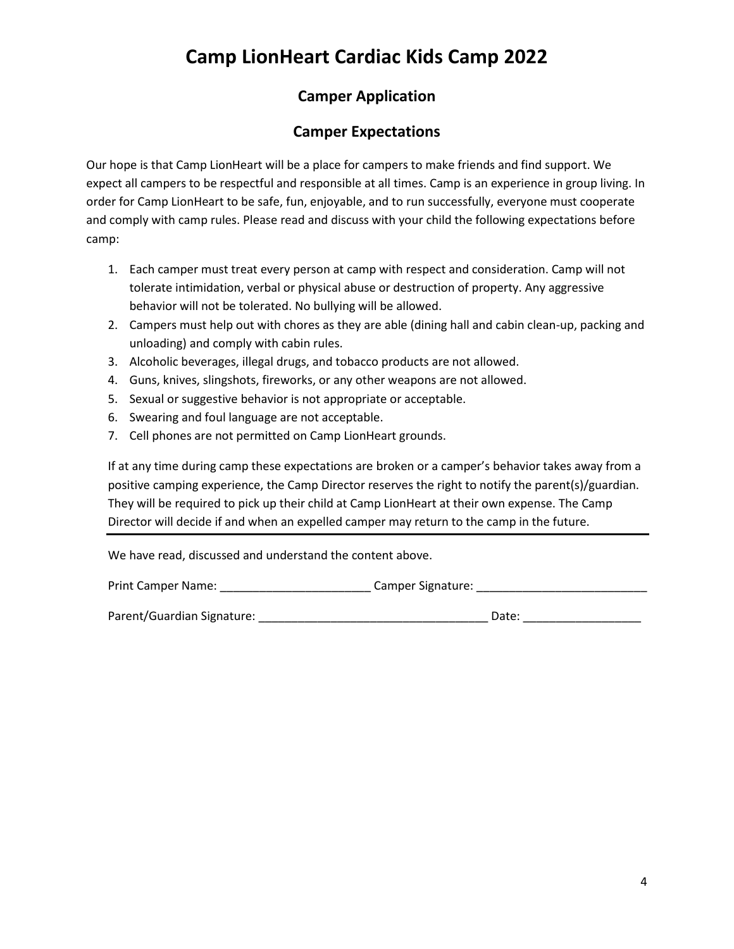### **Camper Application**

#### **Camper Expectations**

Our hope is that Camp LionHeart will be a place for campers to make friends and find support. We expect all campers to be respectful and responsible at all times. Camp is an experience in group living. In order for Camp LionHeart to be safe, fun, enjoyable, and to run successfully, everyone must cooperate and comply with camp rules. Please read and discuss with your child the following expectations before camp:

- 1. Each camper must treat every person at camp with respect and consideration. Camp will not tolerate intimidation, verbal or physical abuse or destruction of property. Any aggressive behavior will not be tolerated. No bullying will be allowed.
- 2. Campers must help out with chores as they are able (dining hall and cabin clean-up, packing and unloading) and comply with cabin rules.
- 3. Alcoholic beverages, illegal drugs, and tobacco products are not allowed.
- 4. Guns, knives, slingshots, fireworks, or any other weapons are not allowed.
- 5. Sexual or suggestive behavior is not appropriate or acceptable.
- 6. Swearing and foul language are not acceptable.
- 7. Cell phones are not permitted on Camp LionHeart grounds.

If at any time during camp these expectations are broken or a camper's behavior takes away from a positive camping experience, the Camp Director reserves the right to notify the parent(s)/guardian. They will be required to pick up their child at Camp LionHeart at their own expense. The Camp Director will decide if and when an expelled camper may return to the camp in the future.

We have read, discussed and understand the content above.

| <b>Print Camper Name:</b>  | Camper Signature: |
|----------------------------|-------------------|
|                            |                   |
| Parent/Guardian Signature: | Date:             |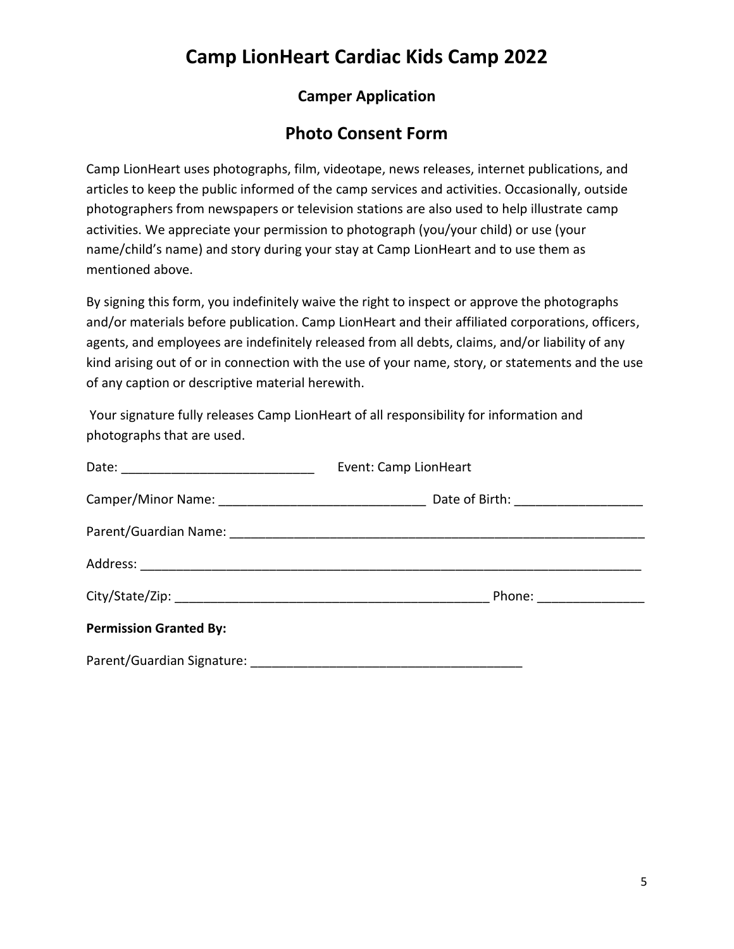### **Camper Application**

### **Photo Consent Form**

Camp LionHeart uses photographs, film, videotape, news releases, internet publications, and articles to keep the public informed of the camp services and activities. Occasionally, outside photographers from newspapers or television stations are also used to help illustrate camp activities. We appreciate your permission to photograph (you/your child) or use (your name/child's name) and story during your stay at Camp LionHeart and to use them as mentioned above.

By signing this form, you indefinitely waive the right to inspect or approve the photographs and/or materials before publication. Camp LionHeart and their affiliated corporations, officers, agents, and employees are indefinitely released from all debts, claims, and/or liability of any kind arising out of or in connection with the use of your name, story, or statements and the use of any caption or descriptive material herewith.

Your signature fully releases Camp LionHeart of all responsibility for information and photographs that are used.

|                               | Event: Camp LionHeart      |  |
|-------------------------------|----------------------------|--|
|                               |                            |  |
|                               |                            |  |
|                               |                            |  |
|                               | Phone: ___________________ |  |
| <b>Permission Granted By:</b> |                            |  |
|                               |                            |  |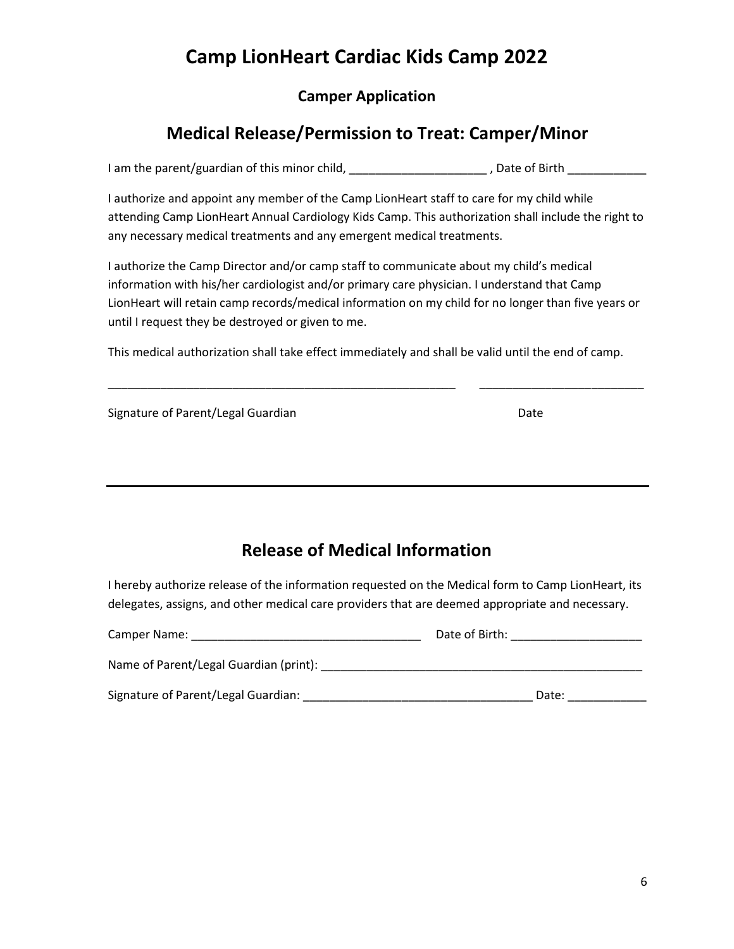#### **Camper Application**

### **Medical Release/Permission to Treat: Camper/Minor**

I am the parent/guardian of this minor child, \_\_\_\_\_\_\_\_\_\_\_\_\_\_\_\_\_\_\_\_\_\_, Date of Birth \_\_\_\_\_\_\_\_\_\_\_\_\_\_

I authorize and appoint any member of the Camp LionHeart staff to care for my child while attending Camp LionHeart Annual Cardiology Kids Camp. This authorization shall include the right to any necessary medical treatments and any emergent medical treatments.

I authorize the Camp Director and/or camp staff to communicate about my child's medical information with his/her cardiologist and/or primary care physician. I understand that Camp LionHeart will retain camp records/medical information on my child for no longer than five years or until I request they be destroyed or given to me.

This medical authorization shall take effect immediately and shall be valid until the end of camp.

\_\_\_\_\_\_\_\_\_\_\_\_\_\_\_\_\_\_\_\_\_\_\_\_\_\_\_\_\_\_\_\_\_\_\_\_\_\_\_\_\_\_\_\_\_\_\_\_\_\_\_\_\_ \_\_\_\_\_\_\_\_\_\_\_\_\_\_\_\_\_\_\_\_\_\_\_\_\_

| Signature of Parent/Legal Guardian | Date |
|------------------------------------|------|
|                                    |      |

| <b>Release of Medical Information</b> |
|---------------------------------------|
|---------------------------------------|

I hereby authorize release of the information requested on the Medical form to Camp LionHeart, its delegates, assigns, and other medical care providers that are deemed appropriate and necessary.

| Camper Name:                           | Date of Birth: |       |
|----------------------------------------|----------------|-------|
| Name of Parent/Legal Guardian (print): |                |       |
| Signature of Parent/Legal Guardian:    |                | Date: |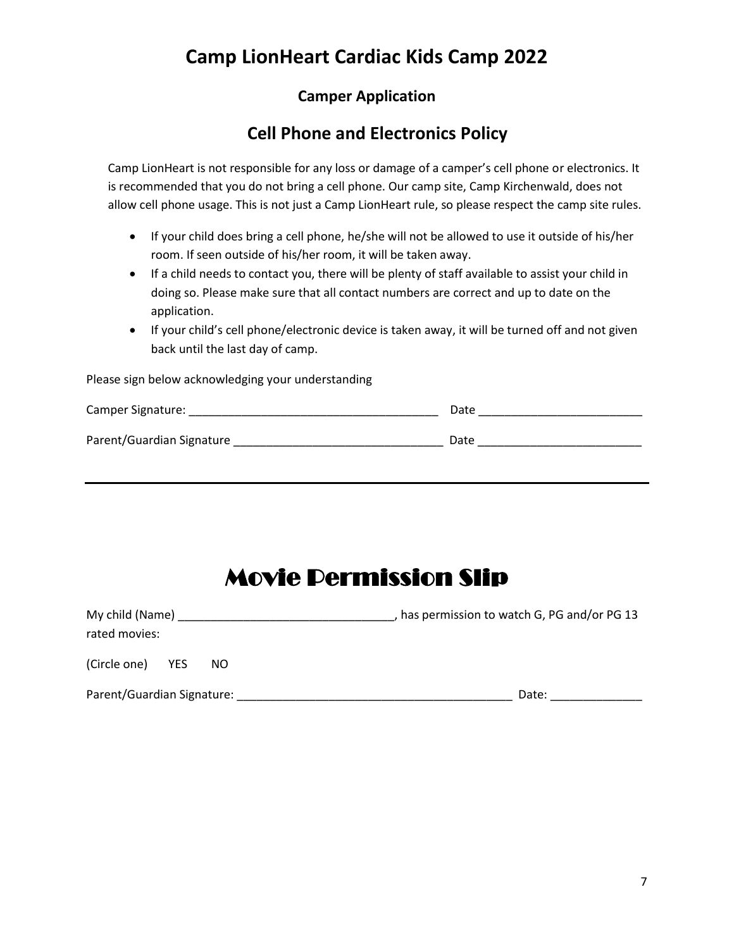#### **Camper Application**

### **Cell Phone and Electronics Policy**

Camp LionHeart is not responsible for any loss or damage of a camper's cell phone or electronics. It is recommended that you do not bring a cell phone. Our camp site, Camp Kirchenwald, does not allow cell phone usage. This is not just a Camp LionHeart rule, so please respect the camp site rules.

- If your child does bring a cell phone, he/she will not be allowed to use it outside of his/her room. If seen outside of his/her room, it will be taken away.
- If a child needs to contact you, there will be plenty of staff available to assist your child in doing so. Please make sure that all contact numbers are correct and up to date on the application.
- If your child's cell phone/electronic device is taken away, it will be turned off and not given back until the last day of camp.

Please sign below acknowledging your understanding

| Camper Signature:         | Date |
|---------------------------|------|
| Parent/Guardian Signature | Date |

# Movie Permission Slip

| My child (Name)            |     | has permission to watch G, PG and/or PG 13 |
|----------------------------|-----|--------------------------------------------|
| rated movies:              |     |                                            |
| (Circle one)<br>YES.       | NO. |                                            |
| Parent/Guardian Signature: |     | Date:                                      |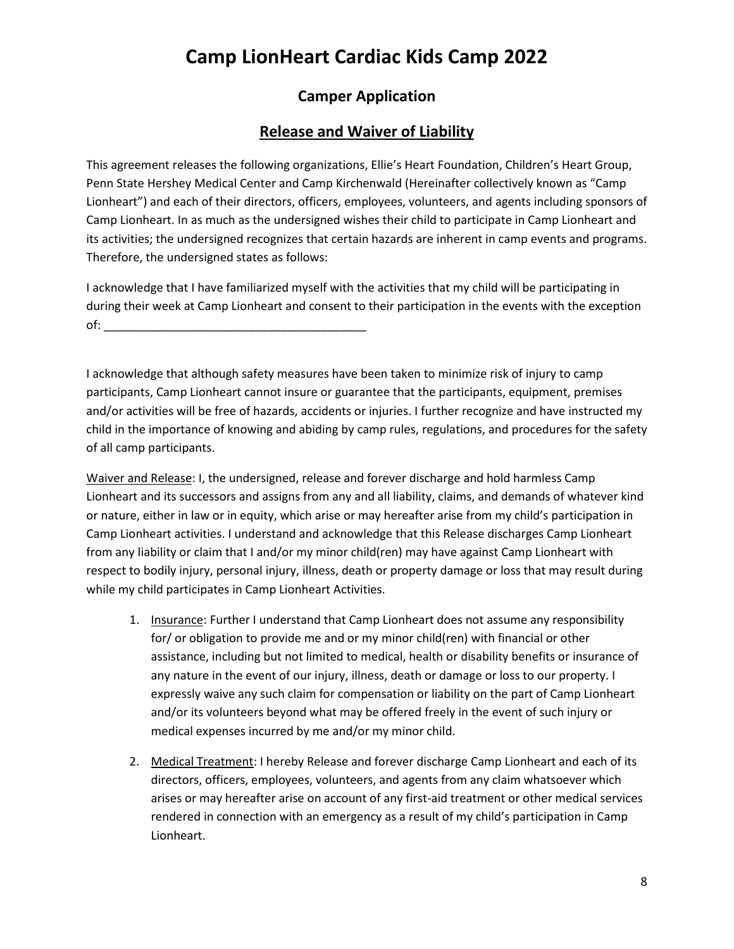#### **Camper Application**

#### **Release and Waiver of Liability**

This agreement releases the following organizations, Ellie's Heart Foundation, Children's Heart Group, Penn State Hershey Medical Center and Camp Kirchenwald (Hereinafter collectively known as "Camp Lionheart") and each of their directors, officers, employees, volunteers, and agents including sponsors of Camp Lionheart. In as much as the undersigned wishes their child to participate in Camp Lionheart and its activities; the undersigned recognizes that certain hazards are inherent in camp events and programs. Therefore, the undersigned states as follows:

I acknowledge that I have familiarized myself with the activities that my child will be participating in during their week at Camp Lionheart and consent to their participation in the events with the exception  $of:$ 

I acknowledge that although safety measures have been taken to minimize risk of injury to camp participants, Camp Lionheart cannot insure or guarantee that the participants, equipment, premises and/or activities will be free of hazards, accidents or injuries. I further recognize and have instructed my child in the importance of knowing and abiding by camp rules, regulations, and procedures for the safety of all camp participants.

Waiver and Release: I, the undersigned, release and forever discharge and hold harmless Camp Lionheart and its successors and assigns from any and all liability, claims, and demands of whatever kind or nature, either in law or in equity, which arise or may hereafter arise from my child's participation in Camp Lionheart activities. I understand and acknowledge that this Release discharges Camp Lionheart from any liability or claim that I and/or my minor child(ren) may have against Camp Lionheart with respect to bodily injury, personal injury, illness, death or property damage or loss that may result during while my child participates in Camp Lionheart Activities.

- 1. Insurance: Further I understand that Camp Lionheart does not assume any responsibility for/ or obligation to provide me and or my minor child(ren) with financial or other assistance, including but not limited to medical, health or disability benefits or insurance of any nature in the event of our injury, illness, death or damage or loss to our property. I expressly waive any such claim for compensation or liability on the part of Camp Lionheart and/or its volunteers beyond what may be offered freely in the event of such injury or medical expenses incurred by me and/or my minor child.
- 2. Medical Treatment: I hereby Release and forever discharge Camp Lionheart and each of its directors, officers, employees, volunteers, and agents from any claim whatsoever which arises or may hereafter arise on account of any first-aid treatment or other medical services rendered in connection with an emergency as a result of my child's participation in Camp Lionheart.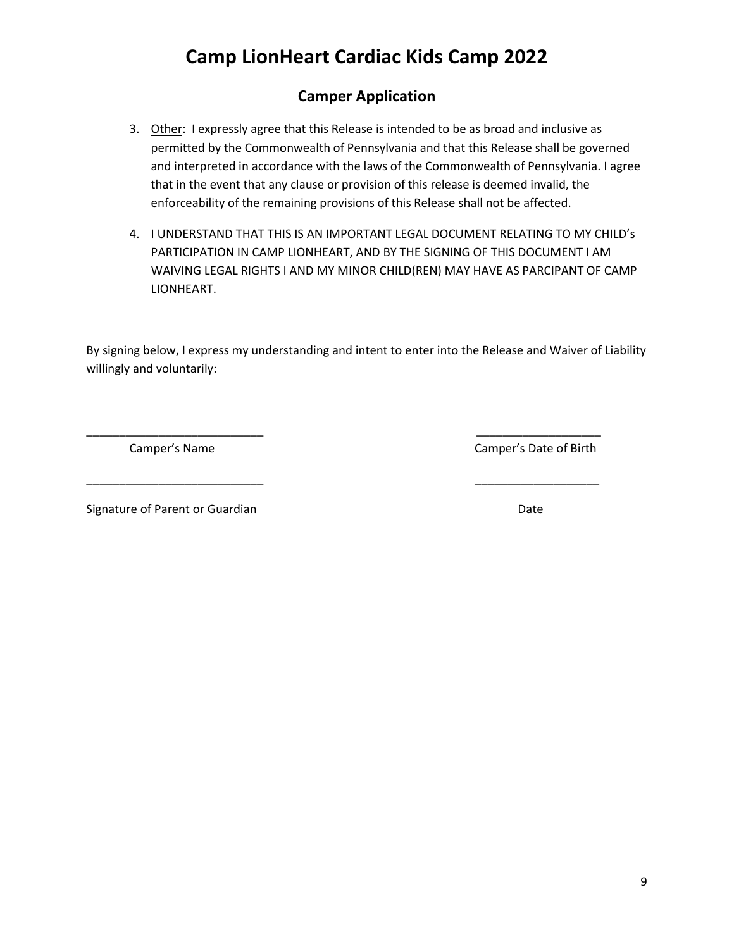### **Camper Application**

- 3. Other: I expressly agree that this Release is intended to be as broad and inclusive as permitted by the Commonwealth of Pennsylvania and that this Release shall be governed and interpreted in accordance with the laws of the Commonwealth of Pennsylvania. I agree that in the event that any clause or provision of this release is deemed invalid, the enforceability of the remaining provisions of this Release shall not be affected.
- 4. I UNDERSTAND THAT THIS IS AN IMPORTANT LEGAL DOCUMENT RELATING TO MY CHILD's PARTICIPATION IN CAMP LIONHEART, AND BY THE SIGNING OF THIS DOCUMENT I AM WAIVING LEGAL RIGHTS I AND MY MINOR CHILD(REN) MAY HAVE AS PARCIPANT OF CAMP LIONHEART.

By signing below, I express my understanding and intent to enter into the Release and Waiver of Liability willingly and voluntarily:

\_\_\_\_\_\_\_\_\_\_\_\_\_\_\_\_\_\_\_\_\_\_\_\_\_\_\_ \_\_\_\_\_\_\_\_\_\_\_\_\_\_\_\_\_\_\_

\_\_\_\_\_\_\_\_\_\_\_\_\_\_\_\_\_\_\_\_\_\_\_\_\_\_\_ \_\_\_\_\_\_\_\_\_\_\_\_\_\_\_\_\_\_\_

Camper's Name Camper's Date of Birth

Signature of Parent or Guardian Date of Parent or Guardian Date of Parent or Guardian Date